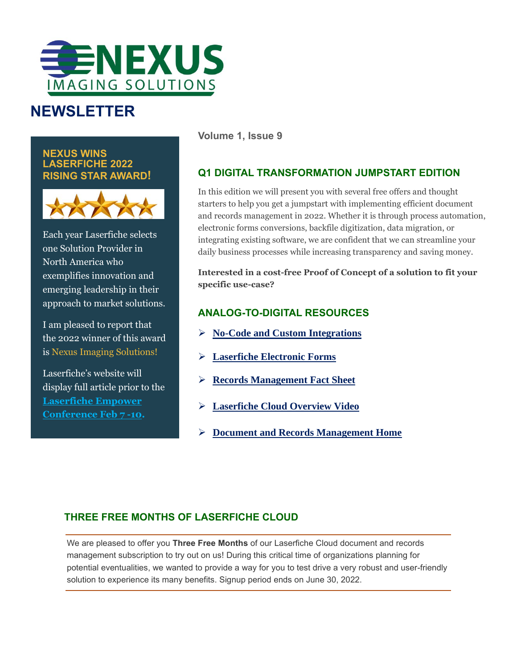

## **NEWSLETTER**

**NEXUS WINS LASERFICHE 2022 RISING STAR AWARD!**



Each year Laserfiche selects one Solution Provider in North America who exemplifies innovation and emerging leadership in their approach to market solutions.

I am pleased to report that the 2022 winner of this award is Nexus Imaging Solutions!

Laserfiche's website will display full article prior to the **[Laserfiche Empower](https://empower.laserfiche.com/event/527affe0-e9ed-4b5f-9cf3-fef2bcb49972/summary)  [Conference Feb](https://empower.laserfiche.com/event/527affe0-e9ed-4b5f-9cf3-fef2bcb49972/summary) 7 -10.**

**Volume 1, Issue 9**

#### **Q1 DIGITAL TRANSFORMATION JUMPSTART EDITION**

In this edition we will present you with several free offers and thought starters to help you get a jumpstart with implementing efficient document and records management in 2022. Whether it is through process automation, electronic forms conversions, backfile digitization, data migration, or integrating existing software, we are confident that we can streamline your daily business processes while increasing transparency and saving money.

**Interested in a cost-free Proof of Concept of a solution to fit your specific use-case?**

#### **ANALOG-TO-DIGITAL RESOURCES**

- ➢ **[No-Code and Custom Integrations](https://www.laserfiche.com/products/ecm-integrations/?utm_source=nexus-imaging-solutions&utm_medium=solution-provider&utm_campaign=laserfiche-integrations)**
- ➢ **[Laserfiche Electronic Forms](https://www.laserfiche.com/products/electronic-forms/?utm_source=nexus-imaging-solutions&utm_medium=solution-provider&utm_campaign=laserfiche-forms;)**
- ➢ **Records [Management](https://www.nex-usa.com/wp-content/uploads/2021/06/Laserfiche-Records-Management-Factsheet.pdf) Fact Sheet**
- ➢ **[Laserfiche Cloud Overview Video](https://info.laserfiche.com/laserfiche-cloud-overview-video?utm_source=nexus-imaging-solutions&utm_medium=solution-provider&utm_campaign=laserfiche-cloud)**
- ➢ **[Document and Records Management Home](https://www.nex-usa.com/document-management/)**

#### **THREE FREE MONTHS OF LASERFICHE CLOUD**

We are pleased to offer you **Three Free Months** of our Laserfiche Cloud document and records management subscription to try out on us! During this critical time of organizations planning for potential eventualities, we wanted to provide a way for you to test drive a very robust and user-friendly solution to experience its many benefits. Signup period ends on June 30, 2022.